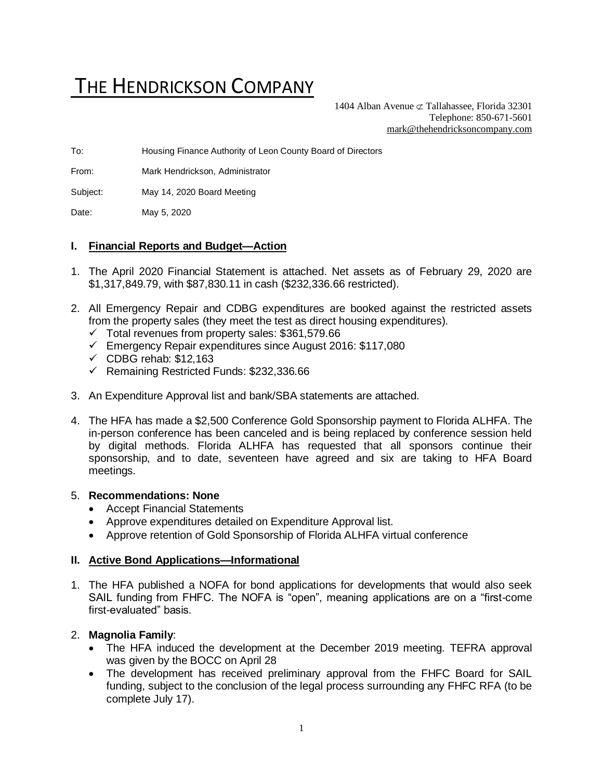# THE HENDRICKSON COMPANY

1404 Alban Avenue  $\sigma$  Tallahassee, Florida 32301 Telephone: 850-671-5601 [mark@thehendricksoncompany.com](mailto:mark@thehendricksoncompany.com)

To: Housing Finance Authority of Leon County Board of Directors

From: Mark Hendrickson, Administrator

Subject: May 14, 2020 Board Meeting

Date: May 5, 2020

## **I. Financial Reports and Budget—Action**

- 1. The April 2020 Financial Statement is attached. Net assets as of February 29, 2020 are \$1,317,849.79, with \$87,830.11 in cash (\$232,336.66 restricted).
- 2. All Emergency Repair and CDBG expenditures are booked against the restricted assets from the property sales (they meet the test as direct housing expenditures).
	- $\checkmark$  Total revenues from property sales: \$361,579.66
	- ✓ Emergency Repair expenditures since August 2016: \$117,080
	- $\checkmark$  CDBG rehab: \$12,163
	- ✓ Remaining Restricted Funds: \$232,336.66
- 3. An Expenditure Approval list and bank/SBA statements are attached.
- 4. The HFA has made a \$2,500 Conference Gold Sponsorship payment to Florida ALHFA. The in-person conference has been canceled and is being replaced by conference session held by digital methods. Florida ALHFA has requested that all sponsors continue their sponsorship, and to date, seventeen have agreed and six are taking to HFA Board meetings.

### 5. **Recommendations: None**

- Accept Financial Statements
- Approve expenditures detailed on Expenditure Approval list.
- Approve retention of Gold Sponsorship of Florida ALHFA virtual conference

### **II. Active Bond Applications—Informational**

1. The HFA published a NOFA for bond applications for developments that would also seek SAIL funding from FHFC. The NOFA is "open", meaning applications are on a "first-come first-evaluated" basis.

### 2. **Magnolia Family**:

- The HFA induced the development at the December 2019 meeting. TEFRA approval was given by the BOCC on April 28
- The development has received preliminary approval from the FHFC Board for SAIL funding, subject to the conclusion of the legal process surrounding any FHFC RFA (to be complete July 17).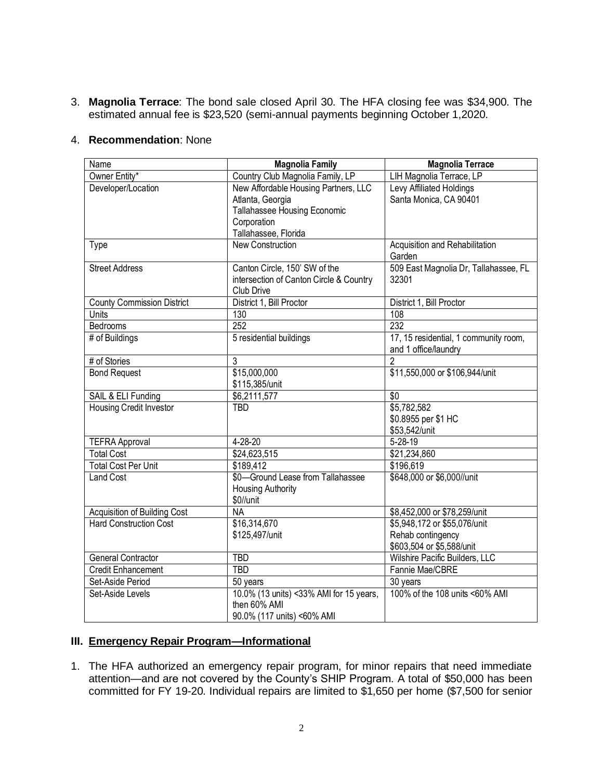3. **Magnolia Terrace**: The bond sale closed April 30. The HFA closing fee was \$34,900. The estimated annual fee is \$23,520 (semi-annual payments beginning October 1,2020.

### 4. **Recommendation**: None

| Name                                                          | <b>Magnolia Family</b>                  | <b>Magnolia Terrace</b>                           |  |  |  |
|---------------------------------------------------------------|-----------------------------------------|---------------------------------------------------|--|--|--|
| Owner Entity*                                                 | Country Club Magnolia Family, LP        | LIH Magnolia Terrace, LP                          |  |  |  |
| Developer/Location                                            | New Affordable Housing Partners, LLC    | Levy Affiliated Holdings                          |  |  |  |
|                                                               | Atlanta, Georgia                        | Santa Monica, CA 90401                            |  |  |  |
|                                                               | Tallahassee Housing Economic            |                                                   |  |  |  |
|                                                               | Corporation                             |                                                   |  |  |  |
|                                                               | Tallahassee, Florida                    |                                                   |  |  |  |
| Type                                                          | <b>New Construction</b>                 | Acquisition and Rehabilitation<br>Garden          |  |  |  |
| <b>Street Address</b>                                         | Canton Circle, 150' SW of the           | 509 East Magnolia Dr, Tallahassee, FL             |  |  |  |
|                                                               | intersection of Canton Circle & Country | 32301                                             |  |  |  |
|                                                               | Club Drive                              |                                                   |  |  |  |
| <b>County Commission District</b>                             | District 1, Bill Proctor                | District 1, Bill Proctor                          |  |  |  |
| Units                                                         | 130                                     | 108                                               |  |  |  |
| Bedrooms                                                      | 252                                     | 232                                               |  |  |  |
| # of Buildings                                                | 5 residential buildings                 | 17, 15 residential, 1 community room,             |  |  |  |
|                                                               |                                         | and 1 office/laundry                              |  |  |  |
| # of Stories                                                  | 3                                       | 2                                                 |  |  |  |
| <b>Bond Request</b>                                           | \$15,000,000                            | \$11,550,000 or \$106,944/unit                    |  |  |  |
|                                                               | \$115,385/unit                          |                                                   |  |  |  |
| SAIL & ELI Funding                                            | \$6,2111,577                            | $\overline{50}$                                   |  |  |  |
| <b>Housing Credit Investor</b>                                | <b>TBD</b>                              | \$5,782,582                                       |  |  |  |
|                                                               |                                         | \$0.8955 per \$1 HC                               |  |  |  |
|                                                               |                                         | \$53,542/unit                                     |  |  |  |
| <b>TEFRA Approval</b>                                         | 4-28-20                                 | $5 - 28 - 19$                                     |  |  |  |
| <b>Total Cost</b>                                             | \$24,623,515                            | \$21,234,860                                      |  |  |  |
| <b>Total Cost Per Unit</b>                                    | \$189,412                               | \$196,619                                         |  |  |  |
| <b>Land Cost</b>                                              | \$0-Ground Lease from Tallahassee       | \$648,000 or \$6,000//unit                        |  |  |  |
|                                                               | <b>Housing Authority</b>                |                                                   |  |  |  |
|                                                               | \$0//unit                               |                                                   |  |  |  |
| Acquisition of Building Cost<br><b>Hard Construction Cost</b> | <b>NA</b>                               | \$8,452,000 or \$78,259/unit                      |  |  |  |
|                                                               | \$16,314,670<br>\$125,497/unit          | \$5,948,172 or \$55,076/unit<br>Rehab contingency |  |  |  |
|                                                               |                                         | \$603,504 or \$5,588/unit                         |  |  |  |
| <b>General Contractor</b>                                     | <b>TBD</b>                              | Wilshire Pacific Builders, LLC                    |  |  |  |
| <b>Credit Enhancement</b>                                     | <b>TBD</b>                              | Fannie Mae/CBRE                                   |  |  |  |
| Set-Aside Period                                              | 50 years                                | 30 years                                          |  |  |  |
| Set-Aside Levels                                              | 10.0% (13 units) <33% AMI for 15 years, | 100% of the 108 units <60% AMI                    |  |  |  |
|                                                               | then 60% AMI                            |                                                   |  |  |  |
|                                                               | 90.0% (117 units) <60% AMI              |                                                   |  |  |  |

## **III. Emergency Repair Program—Informational**

1. The HFA authorized an emergency repair program, for minor repairs that need immediate attention—and are not covered by the County's SHIP Program. A total of \$50,000 has been committed for FY 19-20. Individual repairs are limited to \$1,650 per home (\$7,500 for senior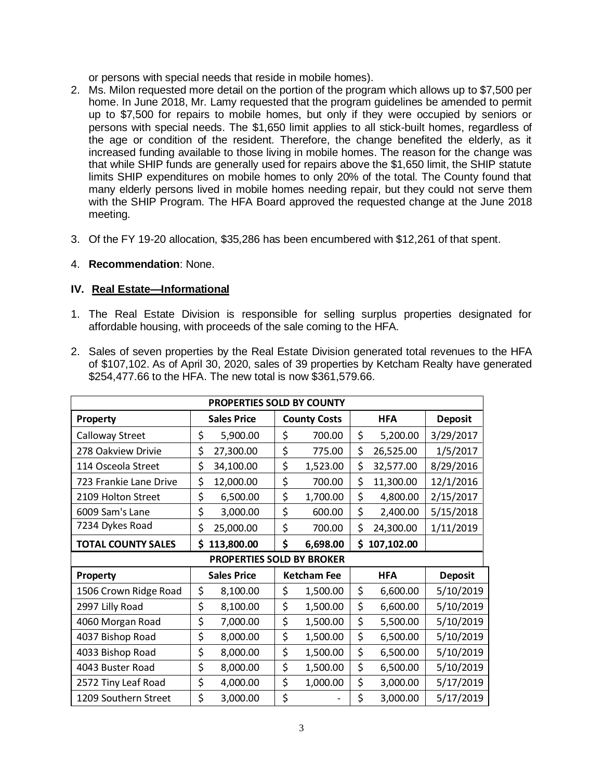or persons with special needs that reside in mobile homes).

- 2. Ms. Milon requested more detail on the portion of the program which allows up to \$7,500 per home. In June 2018, Mr. Lamy requested that the program guidelines be amended to permit up to \$7,500 for repairs to mobile homes, but only if they were occupied by seniors or persons with special needs. The \$1,650 limit applies to all stick-built homes, regardless of the age or condition of the resident. Therefore, the change benefited the elderly, as it increased funding available to those living in mobile homes. The reason for the change was that while SHIP funds are generally used for repairs above the \$1,650 limit, the SHIP statute limits SHIP expenditures on mobile homes to only 20% of the total. The County found that many elderly persons lived in mobile homes needing repair, but they could not serve them with the SHIP Program. The HFA Board approved the requested change at the June 2018 meeting.
- 3. Of the FY 19-20 allocation, \$35,286 has been encumbered with \$12,261 of that spent.
- 4. **Recommendation**: None.

# **IV. Real Estate—Informational**

- 1. The Real Estate Division is responsible for selling surplus properties designated for affordable housing, with proceeds of the sale coming to the HFA.
- 2. Sales of seven properties by the Real Estate Division generated total revenues to the HFA of \$107,102. As of April 30, 2020, sales of 39 properties by Ketcham Realty have generated \$254,477.66 to the HFA. The new total is now \$361,579.66.

| PROPERTIES SOLD BY COUNTY |                    |                                  |                    |                     |            |            |                |  |
|---------------------------|--------------------|----------------------------------|--------------------|---------------------|------------|------------|----------------|--|
| Property                  | <b>Sales Price</b> |                                  |                    | <b>County Costs</b> | <b>HFA</b> |            | <b>Deposit</b> |  |
| Calloway Street           | \$                 | 5,900.00                         | \$                 | 700.00              | \$         | 5,200.00   | 3/29/2017      |  |
| 278 Oakview Drivie        | \$                 | 27,300.00                        | \$                 | 775.00              | \$         | 26,525.00  | 1/5/2017       |  |
| 114 Osceola Street        | \$                 | 34,100.00                        | \$                 | 1,523.00            | \$         | 32,577.00  | 8/29/2016      |  |
| 723 Frankie Lane Drive    | \$                 | 12,000.00                        | \$                 | 700.00              | \$         | 11,300.00  | 12/1/2016      |  |
| 2109 Holton Street        | \$                 | 6,500.00                         | \$                 | 1,700.00            | \$         | 4,800.00   | 2/15/2017      |  |
| 6009 Sam's Lane           | \$                 | 3,000.00                         | \$                 | 600.00              | \$         | 2,400.00   | 5/15/2018      |  |
| 7234 Dykes Road           | \$                 | 25,000.00                        | \$                 | 700.00              | \$         | 24,300.00  | 1/11/2019      |  |
| <b>TOTAL COUNTY SALES</b> | \$                 | 113,800.00                       | \$                 | 6,698.00            | \$         | 107,102.00 |                |  |
|                           |                    | <b>PROPERTIES SOLD BY BROKER</b> |                    |                     |            |            |                |  |
| Property                  | <b>Sales Price</b> |                                  | <b>Ketcham Fee</b> |                     |            | <b>HFA</b> | <b>Deposit</b> |  |
| 1506 Crown Ridge Road     | \$                 | 8,100.00                         | \$                 | 1,500.00            | \$         | 6,600.00   | 5/10/2019      |  |
| 2997 Lilly Road           | \$                 | 8,100.00                         | \$                 | 1,500.00            | \$         | 6,600.00   | 5/10/2019      |  |
| 4060 Morgan Road          | \$                 | 7,000.00                         | \$                 | 1,500.00            | \$         | 5,500.00   | 5/10/2019      |  |
| 4037 Bishop Road          | \$                 | 8,000.00                         | \$                 | 1,500.00            | \$         | 6,500.00   | 5/10/2019      |  |
| 4033 Bishop Road          | \$                 | 8,000.00                         | \$                 | 1,500.00            | \$         | 6,500.00   | 5/10/2019      |  |
| 4043 Buster Road          | \$                 | 8,000.00                         | \$                 | 1,500.00            | \$         | 6,500.00   | 5/10/2019      |  |
| 2572 Tiny Leaf Road       | \$                 | 4,000.00                         | \$                 | 1,000.00            | \$         | 3,000.00   | 5/17/2019      |  |
| 1209 Southern Street      | \$                 | 3,000.00                         | \$                 |                     | \$         | 3,000.00   | 5/17/2019      |  |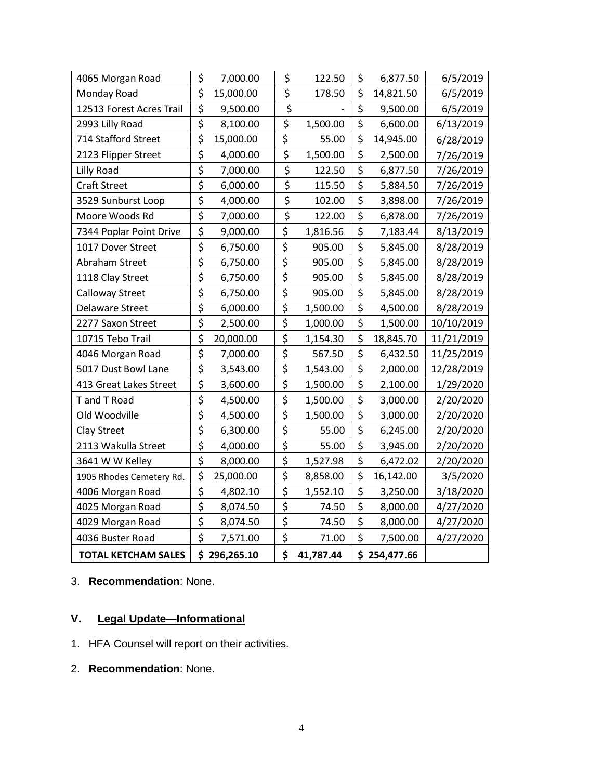| 4065 Morgan Road           | \$                                  | 7,000.00  | \$                              | 122.50    | \$           | 6,877.50  | 6/5/2019   |
|----------------------------|-------------------------------------|-----------|---------------------------------|-----------|--------------|-----------|------------|
| Monday Road                | \$<br>15,000.00                     |           | \$                              | 178.50    | \$           | 14,821.50 | 6/5/2019   |
| 12513 Forest Acres Trail   | \$                                  | 9,500.00  | \$                              |           | \$           | 9,500.00  | 6/5/2019   |
| 2993 Lilly Road            | \$                                  | 8,100.00  | \$                              | 1,500.00  | \$           | 6,600.00  | 6/13/2019  |
| 714 Stafford Street        | \$                                  | 15,000.00 | \$                              | 55.00     | \$           | 14,945.00 | 6/28/2019  |
| 2123 Flipper Street        | \$                                  | 4,000.00  | $\overline{\boldsymbol{\zeta}}$ | 1,500.00  | \$           | 2,500.00  | 7/26/2019  |
| Lilly Road                 | \$                                  | 7,000.00  | \$                              | 122.50    | \$           | 6,877.50  | 7/26/2019  |
| <b>Craft Street</b>        | $\overline{\boldsymbol{\varsigma}}$ | 6,000.00  | \$                              | 115.50    | \$           | 5,884.50  | 7/26/2019  |
| 3529 Sunburst Loop         | \$                                  | 4,000.00  | \$                              | 102.00    | \$           | 3,898.00  | 7/26/2019  |
| Moore Woods Rd             | \$                                  | 7,000.00  | \$                              | 122.00    | \$           | 6,878.00  | 7/26/2019  |
| 7344 Poplar Point Drive    | \$                                  | 9,000.00  | \$                              | 1,816.56  | \$           | 7,183.44  | 8/13/2019  |
| 1017 Dover Street          | \$                                  | 6,750.00  | \$                              | 905.00    | \$           | 5,845.00  | 8/28/2019  |
| Abraham Street             | \$                                  | 6,750.00  | \$                              | 905.00    | \$           | 5,845.00  | 8/28/2019  |
| 1118 Clay Street           | \$                                  | 6,750.00  | \$                              | 905.00    | \$           | 5,845.00  | 8/28/2019  |
| Calloway Street            | \$                                  | 6,750.00  | \$                              | 905.00    | \$           | 5,845.00  | 8/28/2019  |
| Delaware Street            | \$                                  | 6,000.00  | \$                              | 1,500.00  | \$           | 4,500.00  | 8/28/2019  |
| 2277 Saxon Street          | \$                                  | 2,500.00  | \$                              | 1,000.00  | \$           | 1,500.00  | 10/10/2019 |
| 10715 Tebo Trail           | \$                                  | 20,000.00 | \$                              | 1,154.30  | \$           | 18,845.70 | 11/21/2019 |
| 4046 Morgan Road           | \$                                  | 7,000.00  | \$                              | 567.50    | \$           | 6,432.50  | 11/25/2019 |
| 5017 Dust Bowl Lane        | \$                                  | 3,543.00  | \$                              | 1,543.00  | \$           | 2,000.00  | 12/28/2019 |
| 413 Great Lakes Street     | \$                                  | 3,600.00  | \$                              | 1,500.00  | \$           | 2,100.00  | 1/29/2020  |
| T and T Road               | \$                                  | 4,500.00  | \$                              | 1,500.00  | \$           | 3,000.00  | 2/20/2020  |
| Old Woodville              | \$                                  | 4,500.00  | \$                              | 1,500.00  | \$           | 3,000.00  | 2/20/2020  |
| Clay Street                | \$                                  | 6,300.00  | \$                              | 55.00     | \$           | 6,245.00  | 2/20/2020  |
| 2113 Wakulla Street        | \$                                  | 4,000.00  | \$                              | 55.00     | \$           | 3,945.00  | 2/20/2020  |
| 3641 W W Kelley            | \$                                  | 8,000.00  | \$                              | 1,527.98  | \$           | 6,472.02  | 2/20/2020  |
| 1905 Rhodes Cemetery Rd.   | \$                                  | 25,000.00 | \$                              | 8,858.00  | \$           | 16,142.00 | 3/5/2020   |
| 4006 Morgan Road           | \$                                  | 4,802.10  | \$                              | 1,552.10  | \$           | 3,250.00  | 3/18/2020  |
| 4025 Morgan Road           | \$                                  | 8,074.50  | \$                              | 74.50     | \$           | 8,000.00  | 4/27/2020  |
| 4029 Morgan Road           | \$                                  | 8,074.50  | \$                              | 74.50     | \$           | 8,000.00  | 4/27/2020  |
| 4036 Buster Road           | \$                                  | 7,571.00  | \$                              | 71.00     | \$           | 7,500.00  | 4/27/2020  |
| <b>TOTAL KETCHAM SALES</b> | \$<br>296,265.10                    |           | \$                              | 41,787.44 | \$254,477.66 |           |            |

# 3. **Recommendation**: None.

# **V. Legal Update—Informational**

- 1. HFA Counsel will report on their activities.
- 2. **Recommendation**: None.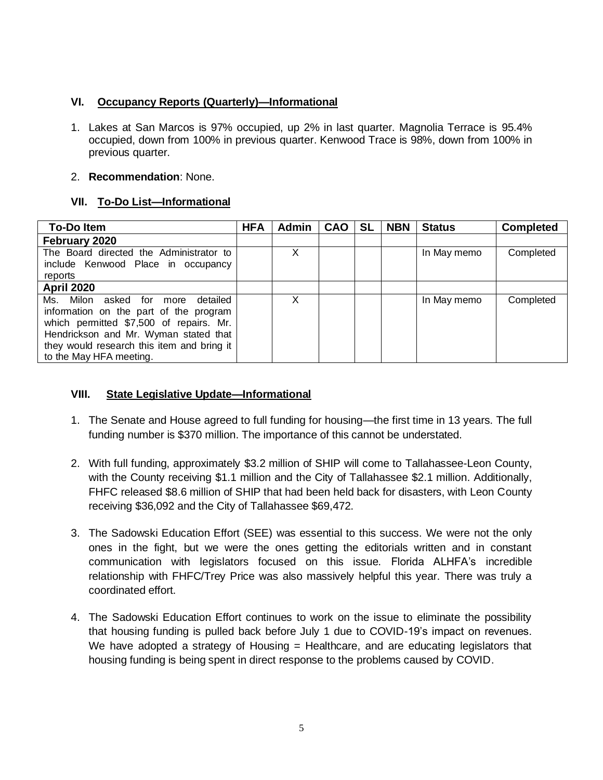# **VI. Occupancy Reports (Quarterly)—Informational**

1. Lakes at San Marcos is 97% occupied, up 2% in last quarter. Magnolia Terrace is 95.4% occupied, down from 100% in previous quarter. Kenwood Trace is 98%, down from 100% in previous quarter.

## 2. **Recommendation**: None.

# **VII. To-Do List—Informational**

| <b>To-Do Item</b>                          | <b>HFA</b> | <b>Admin</b> | <b>CAO</b> | <b>SL</b> | <b>NBN</b> | <b>Status</b> | <b>Completed</b> |
|--------------------------------------------|------------|--------------|------------|-----------|------------|---------------|------------------|
| February 2020                              |            |              |            |           |            |               |                  |
| The Board directed the Administrator to    |            | х            |            |           |            | In May memo   | Completed        |
| include Kenwood Place in occupancy         |            |              |            |           |            |               |                  |
| reports                                    |            |              |            |           |            |               |                  |
| <b>April 2020</b>                          |            |              |            |           |            |               |                  |
| Ms. Milon<br>asked for more<br>detailed    |            | X            |            |           |            | In May memo   | Completed        |
| information on the part of the program     |            |              |            |           |            |               |                  |
| which permitted \$7,500 of repairs. Mr.    |            |              |            |           |            |               |                  |
| Hendrickson and Mr. Wyman stated that      |            |              |            |           |            |               |                  |
| they would research this item and bring it |            |              |            |           |            |               |                  |
| to the May HFA meeting.                    |            |              |            |           |            |               |                  |

# **VIII. State Legislative Update—Informational**

- 1. The Senate and House agreed to full funding for housing—the first time in 13 years. The full funding number is \$370 million. The importance of this cannot be understated.
- 2. With full funding, approximately \$3.2 million of SHIP will come to Tallahassee-Leon County, with the County receiving \$1.1 million and the City of Tallahassee \$2.1 million. Additionally, FHFC released \$8.6 million of SHIP that had been held back for disasters, with Leon County receiving \$36,092 and the City of Tallahassee \$69,472.
- 3. The Sadowski Education Effort (SEE) was essential to this success. We were not the only ones in the fight, but we were the ones getting the editorials written and in constant communication with legislators focused on this issue. Florida ALHFA's incredible relationship with FHFC/Trey Price was also massively helpful this year. There was truly a coordinated effort.
- 4. The Sadowski Education Effort continues to work on the issue to eliminate the possibility that housing funding is pulled back before July 1 due to COVID-19's impact on revenues. We have adopted a strategy of Housing = Healthcare, and are educating legislators that housing funding is being spent in direct response to the problems caused by COVID.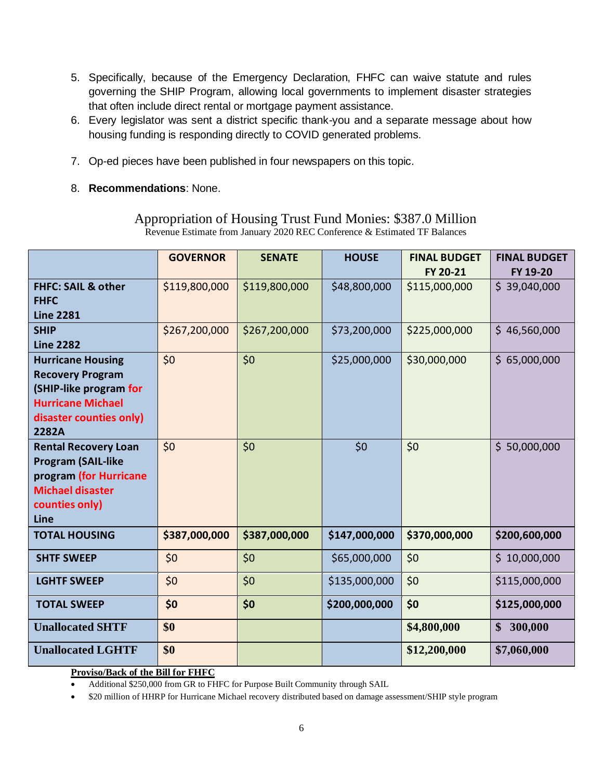- 5. Specifically, because of the Emergency Declaration, FHFC can waive statute and rules governing the SHIP Program, allowing local governments to implement disaster strategies that often include direct rental or mortgage payment assistance.
- 6. Every legislator was sent a district specific thank-you and a separate message about how housing funding is responding directly to COVID generated problems.
- 7. Op-ed pieces have been published in four newspapers on this topic.
- 8. **Recommendations**: None.

|                               | <b>GOVERNOR</b> | <b>SENATE</b> | <b>HOUSE</b>  | <b>FINAL BUDGET</b> | <b>FINAL BUDGET</b> |
|-------------------------------|-----------------|---------------|---------------|---------------------|---------------------|
|                               |                 |               |               | FY 20-21            | FY 19-20            |
| <b>FHFC: SAIL &amp; other</b> | \$119,800,000   | \$119,800,000 | \$48,800,000  | \$115,000,000       | \$39,040,000        |
| <b>FHFC</b>                   |                 |               |               |                     |                     |
| <b>Line 2281</b>              |                 |               |               |                     |                     |
| <b>SHIP</b>                   | \$267,200,000   | \$267,200,000 | \$73,200,000  | \$225,000,000       | \$46,560,000        |
| <b>Line 2282</b>              |                 |               |               |                     |                     |
| <b>Hurricane Housing</b>      | \$0             | \$0           | \$25,000,000  | \$30,000,000        | \$65,000,000        |
| <b>Recovery Program</b>       |                 |               |               |                     |                     |
| (SHIP-like program for        |                 |               |               |                     |                     |
| <b>Hurricane Michael</b>      |                 |               |               |                     |                     |
| disaster counties only)       |                 |               |               |                     |                     |
| 2282A                         |                 |               |               |                     |                     |
| <b>Rental Recovery Loan</b>   | \$0             | \$0           | \$0           | \$0                 | \$50,000,000        |
| <b>Program (SAIL-like</b>     |                 |               |               |                     |                     |
| program (for Hurricane        |                 |               |               |                     |                     |
| <b>Michael disaster</b>       |                 |               |               |                     |                     |
| counties only)                |                 |               |               |                     |                     |
| Line                          |                 |               |               |                     |                     |
| <b>TOTAL HOUSING</b>          | \$387,000,000   | \$387,000,000 | \$147,000,000 | \$370,000,000       | \$200,600,000       |
| <b>SHTF SWEEP</b>             | \$0             | \$0           | \$65,000,000  | \$0                 | \$10,000,000        |
| <b>LGHTF SWEEP</b>            | \$0             | \$0           | \$135,000,000 | \$0                 | \$115,000,000       |
| <b>TOTAL SWEEP</b>            | \$0             | \$0           | \$200,000,000 | \$0                 | \$125,000,000       |
| <b>Unallocated SHTF</b>       | \$0             |               |               | \$4,800,000         | 300,000<br>\$       |
| <b>Unallocated LGHTF</b>      | \$0             |               |               | \$12,200,000        | \$7,060,000         |

Appropriation of Housing Trust Fund Monies: \$387.0 Million Revenue Estimate from January 2020 REC Conference & Estimated TF Balances

## **Proviso/Back of the Bill for FHFC**

• \$20 million of HHRP for Hurricane Michael recovery distributed based on damage assessment/SHIP style program

<sup>•</sup> Additional \$250,000 from GR to FHFC for Purpose Built Community through SAIL